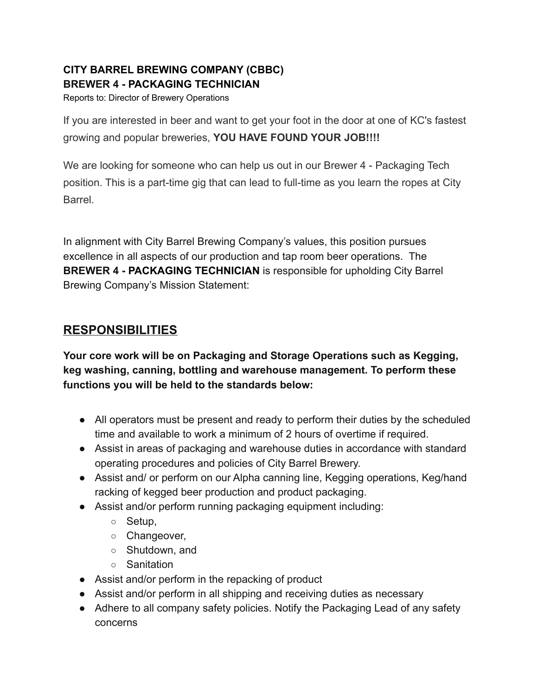## **CITY BARREL BREWING COMPANY (CBBC) BREWER 4 - PACKAGING TECHNICIAN**

Reports to: Director of Brewery Operations

If you are interested in beer and want to get your foot in the door at one of KC's fastest growing and popular breweries, **YOU HAVE FOUND YOUR JOB!!!!**

We are looking for someone who can help us out in our Brewer 4 - Packaging Tech position. This is a part-time gig that can lead to full-time as you learn the ropes at City **Barrel** 

In alignment with City Barrel Brewing Company's values, this position pursues excellence in all aspects of our production and tap room beer operations. The **BREWER 4 - PACKAGING TECHNICIAN** is responsible for upholding City Barrel Brewing Company's Mission Statement:

# **RESPONSIBILITIES**

**Your core work will be on Packaging and Storage Operations such as Kegging, keg washing, canning, bottling and warehouse management. To perform these functions you will be held to the standards below:**

- All operators must be present and ready to perform their duties by the scheduled time and available to work a minimum of 2 hours of overtime if required.
- Assist in areas of packaging and warehouse duties in accordance with standard operating procedures and policies of City Barrel Brewery.
- Assist and/ or perform on our Alpha canning line, Kegging operations, Keg/hand racking of kegged beer production and product packaging.
- Assist and/or perform running packaging equipment including:
	- Setup,
	- Changeover,
	- Shutdown, and
	- Sanitation
- Assist and/or perform in the repacking of product
- Assist and/or perform in all shipping and receiving duties as necessary
- Adhere to all company safety policies. Notify the Packaging Lead of any safety concerns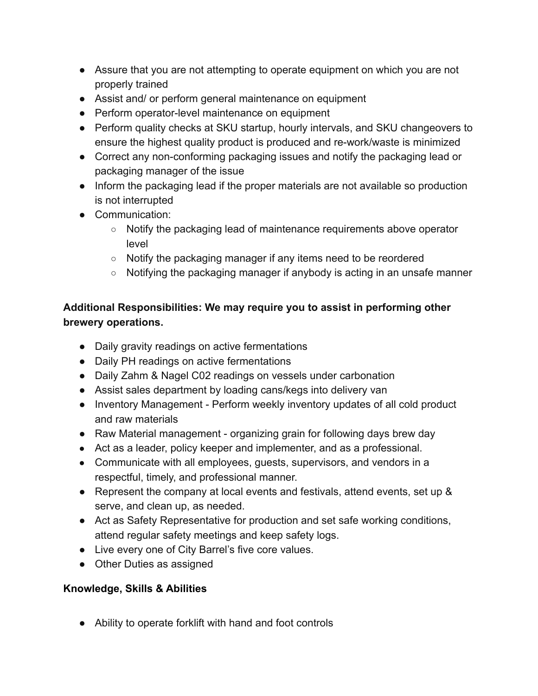- Assure that you are not attempting to operate equipment on which you are not properly trained
- Assist and/ or perform general maintenance on equipment
- Perform operator-level maintenance on equipment
- Perform quality checks at SKU startup, hourly intervals, and SKU changeovers to ensure the highest quality product is produced and re-work/waste is minimized
- Correct any non-conforming packaging issues and notify the packaging lead or packaging manager of the issue
- Inform the packaging lead if the proper materials are not available so production is not interrupted
- Communication:
	- $\circ$  Notify the packaging lead of maintenance requirements above operator level
	- Notify the packaging manager if any items need to be reordered
	- Notifying the packaging manager if anybody is acting in an unsafe manner

### **Additional Responsibilities: We may require you to assist in performing other brewery operations.**

- Daily gravity readings on active fermentations
- Daily PH readings on active fermentations
- Daily Zahm & Nagel C02 readings on vessels under carbonation
- Assist sales department by loading cans/kegs into delivery van
- Inventory Management Perform weekly inventory updates of all cold product and raw materials
- Raw Material management organizing grain for following days brew day
- Act as a leader, policy keeper and implementer, and as a professional.
- Communicate with all employees, guests, supervisors, and vendors in a respectful, timely, and professional manner.
- Represent the company at local events and festivals, attend events, set up & serve, and clean up, as needed.
- Act as Safety Representative for production and set safe working conditions, attend regular safety meetings and keep safety logs.
- Live every one of City Barrel's five core values.
- Other Duties as assigned

#### **Knowledge, Skills & Abilities**

● Ability to operate forklift with hand and foot controls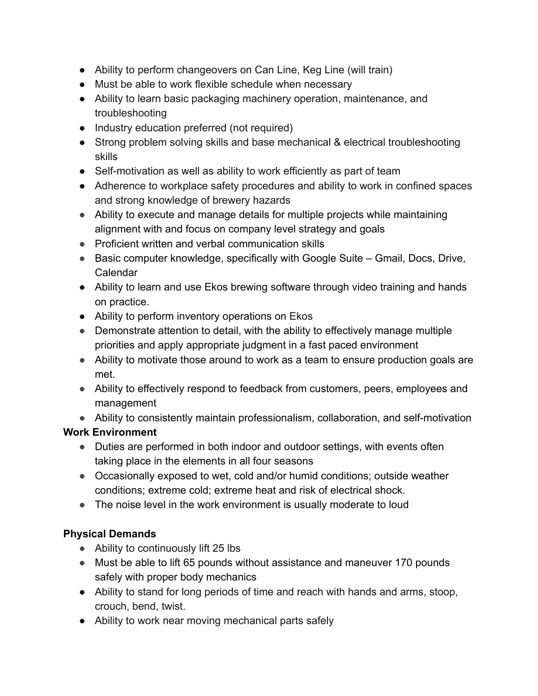- Ability to perform changeovers on Can Line, Keg Line (will train)
- Must be able to work flexible schedule when necessary
- Ability to learn basic packaging machinery operation, maintenance, and troubleshooting
- Industry education preferred (not required)
- Strong problem solving skills and base mechanical & electrical troubleshooting skills
- Self-motivation as well as ability to work efficiently as part of team
- Adherence to workplace safety procedures and ability to work in confined spaces and strong knowledge of brewery hazards
- Ability to execute and manage details for multiple projects while maintaining alignment with and focus on company level strategy and goals
- Proficient written and verbal communication skills
- Basic computer knowledge, specifically with Google Suite Gmail, Docs, Drive, Calendar
- Ability to learn and use Ekos brewing software through video training and hands on practice.
- Ability to perform inventory operations on Ekos
- Demonstrate attention to detail, with the ability to effectively manage multiple priorities and apply appropriate judgment in a fast paced environment
- Ability to motivate those around to work as a team to ensure production goals are met.
- Ability to effectively respond to feedback from customers, peers, employees and management
- Ability to consistently maintain professionalism, collaboration, and self-motivation

### **Work Environment**

- Duties are performed in both indoor and outdoor settings, with events often taking place in the elements in all four seasons
- Occasionally exposed to wet, cold and/or humid conditions; outside weather conditions; extreme cold; extreme heat and risk of electrical shock.
- The noise level in the work environment is usually moderate to loud

# **Physical Demands**

- Ability to continuously lift 25 lbs
- Must be able to lift 65 pounds without assistance and maneuver 170 pounds safely with proper body mechanics
- Ability to stand for long periods of time and reach with hands and arms, stoop, crouch, bend, twist.
- Ability to work near moving mechanical parts safely